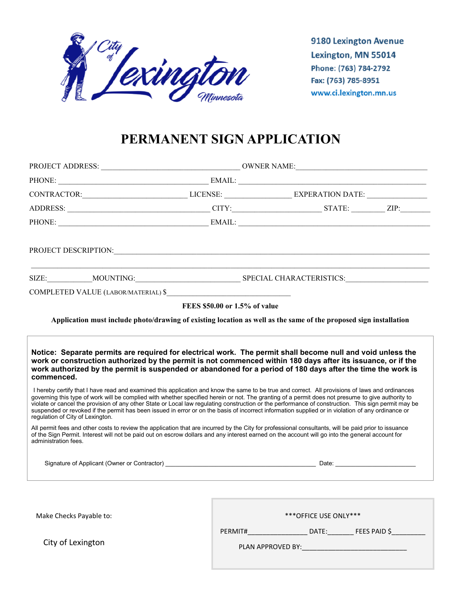

9180 Lexington Avenue Lexington, MN 55014 Phone: (763) 784-2792 Fax: (763) 785-8951 www.ci.lexington.mn.us

# **PERMANENT SIGN APPLICATION**

| CONTRACTOR:___________________________________LICENSE: _________________________EXPERATION DATE: _____________                                                                                                                                                                                                                                                                                                                                                                                                                                                                                                                                                                                                                                                                                                                                                                                                                                                                                                                                                                                                       |                               |                        |                            |  |
|----------------------------------------------------------------------------------------------------------------------------------------------------------------------------------------------------------------------------------------------------------------------------------------------------------------------------------------------------------------------------------------------------------------------------------------------------------------------------------------------------------------------------------------------------------------------------------------------------------------------------------------------------------------------------------------------------------------------------------------------------------------------------------------------------------------------------------------------------------------------------------------------------------------------------------------------------------------------------------------------------------------------------------------------------------------------------------------------------------------------|-------------------------------|------------------------|----------------------------|--|
|                                                                                                                                                                                                                                                                                                                                                                                                                                                                                                                                                                                                                                                                                                                                                                                                                                                                                                                                                                                                                                                                                                                      |                               |                        |                            |  |
|                                                                                                                                                                                                                                                                                                                                                                                                                                                                                                                                                                                                                                                                                                                                                                                                                                                                                                                                                                                                                                                                                                                      |                               |                        |                            |  |
|                                                                                                                                                                                                                                                                                                                                                                                                                                                                                                                                                                                                                                                                                                                                                                                                                                                                                                                                                                                                                                                                                                                      |                               |                        |                            |  |
|                                                                                                                                                                                                                                                                                                                                                                                                                                                                                                                                                                                                                                                                                                                                                                                                                                                                                                                                                                                                                                                                                                                      |                               |                        |                            |  |
| COMPLETED VALUE (LABOR/MATERIAL) \$                                                                                                                                                                                                                                                                                                                                                                                                                                                                                                                                                                                                                                                                                                                                                                                                                                                                                                                                                                                                                                                                                  |                               |                        |                            |  |
|                                                                                                                                                                                                                                                                                                                                                                                                                                                                                                                                                                                                                                                                                                                                                                                                                                                                                                                                                                                                                                                                                                                      | FEES \$50.00 or 1.5% of value |                        |                            |  |
| Application must include photo/drawing of existing location as well as the same of the proposed sign installation                                                                                                                                                                                                                                                                                                                                                                                                                                                                                                                                                                                                                                                                                                                                                                                                                                                                                                                                                                                                    |                               |                        |                            |  |
| work authorized by the permit is suspended or abandoned for a period of 180 days after the time the work is<br>commenced.<br>I hereby certify that I have read and examined this application and know the same to be true and correct. All provisions of laws and ordinances<br>governing this type of work will be complied with whether specified herein or not. The granting of a permit does not presume to give authority to<br>violate or cancel the provision of any other State or Local law regulating construction or the performance of construction. This sign permit may be<br>suspended or revoked if the permit has been issued in error or on the basis of incorrect information supplied or in violation of any ordinance or<br>regulation of City of Lexington.<br>All permit fees and other costs to review the application that are incurred by the City for professional consultants, will be paid prior to issuance<br>of the Sign Permit. Interest will not be paid out on escrow dollars and any interest earned on the account will go into the general account for<br>administration fees. |                               |                        |                            |  |
|                                                                                                                                                                                                                                                                                                                                                                                                                                                                                                                                                                                                                                                                                                                                                                                                                                                                                                                                                                                                                                                                                                                      |                               |                        |                            |  |
|                                                                                                                                                                                                                                                                                                                                                                                                                                                                                                                                                                                                                                                                                                                                                                                                                                                                                                                                                                                                                                                                                                                      |                               |                        |                            |  |
| Make Checks Payable to:                                                                                                                                                                                                                                                                                                                                                                                                                                                                                                                                                                                                                                                                                                                                                                                                                                                                                                                                                                                                                                                                                              |                               | *** OFFICE USE ONLY*** |                            |  |
|                                                                                                                                                                                                                                                                                                                                                                                                                                                                                                                                                                                                                                                                                                                                                                                                                                                                                                                                                                                                                                                                                                                      |                               |                        | PERMIT# DATE: PEES PAID \$ |  |
| City of Lexington                                                                                                                                                                                                                                                                                                                                                                                                                                                                                                                                                                                                                                                                                                                                                                                                                                                                                                                                                                                                                                                                                                    |                               |                        |                            |  |
|                                                                                                                                                                                                                                                                                                                                                                                                                                                                                                                                                                                                                                                                                                                                                                                                                                                                                                                                                                                                                                                                                                                      |                               |                        |                            |  |